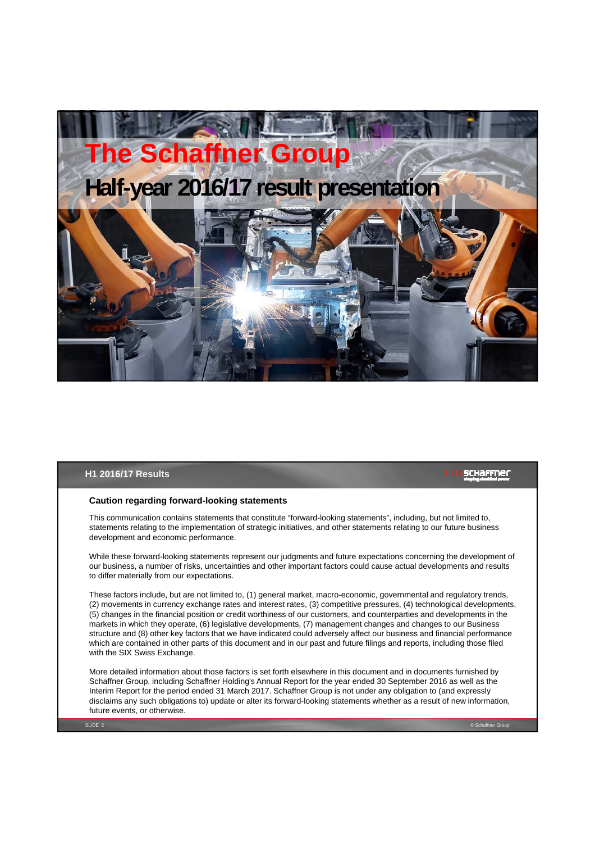

#### **H1 2016/17 Results**

#### schaffner

#### **Caution regarding forward-looking statements**

This communication contains statements that constitute "forward-looking statements", including, but not limited to, statements relating to the implementation of strategic initiatives, and other statements relating to our future business development and economic performance.

While these forward-looking statements represent our judgments and future expectations concerning the development of our business, a number of risks, uncertainties and other important factors could cause actual developments and results to differ materially from our expectations.

These factors include, but are not limited to, (1) general market, macro-economic, governmental and regulatory trends, (2) movements in currency exchange rates and interest rates, (3) competitive pressures, (4) technological developments, (5) changes in the financial position or credit worthiness of our customers, and counterparties and developments in the markets in which they operate, (6) legislative developments, (7) management changes and changes to our Business structure and (8) other key factors that we have indicated could adversely affect our business and financial performance which are contained in other parts of this document and in our past and future filings and reports, including those filed with the SIX Swiss Exchange.

More detailed information about those factors is set forth elsewhere in this document and in documents furnished by Schaffner Group, including Schaffner Holding's Annual Report for the year ended 30 September 2016 as well as the Interim Report for the period ended 31 March 2017. Schaffner Group is not under any obligation to (and expressly disclaims any such obligations to) update or alter its forward-looking statements whether as a result of new information, future events, or otherwise.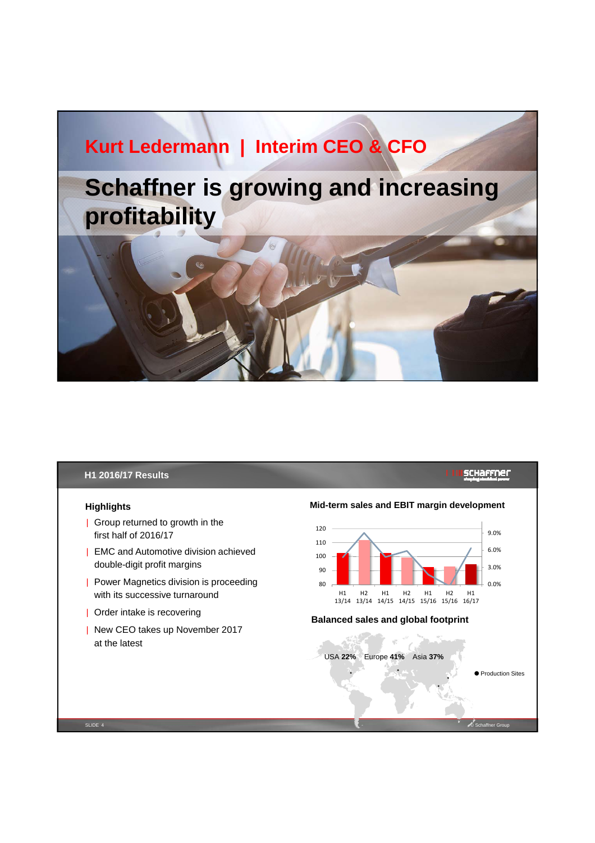# **Kurt Ledermann | Interim CEO & CFO Schaffner is growing and increasing profitability**

# **H1 2016/17 Results**

#### **Highlights**

- | Group returned to growth in the first half of 2016/17
- | EMC and Automotive division achieved double-digit profit margins
- | Power Magnetics division is proceeding with its successive turnaround
- | Order intake is recovering
- | New CEO takes up November 2017 at the latest

# **SCHAFFNEL**



SLIDE 4 © Schaffner Group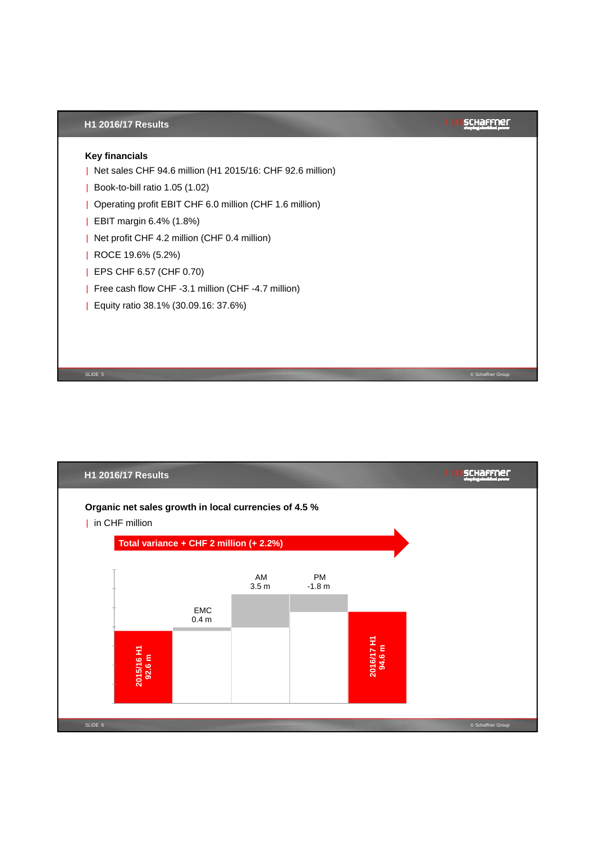

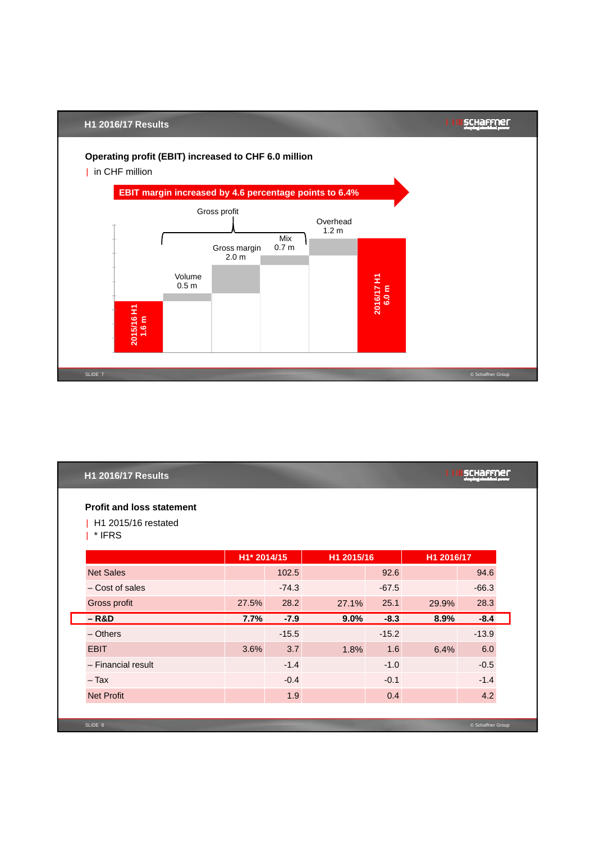

| <b>H1 2016/17 Results</b>                               |             |         |            |         |            |                   |  |
|---------------------------------------------------------|-------------|---------|------------|---------|------------|-------------------|--|
| <b>Profit and loss statement</b><br>H1 2015/16 restated |             |         |            |         |            |                   |  |
| * IFRS                                                  |             |         |            |         |            |                   |  |
|                                                         | H1* 2014/15 |         | H1 2015/16 |         | H1 2016/17 |                   |  |
| <b>Net Sales</b>                                        |             | 102.5   |            | 92.6    |            | 94.6              |  |
| - Cost of sales                                         |             | $-74.3$ |            | $-67.5$ |            | $-66.3$           |  |
| Gross profit                                            | 27.5%       | 28.2    | 27.1%      | 25.1    | 29.9%      | 28.3              |  |
| $-R&D$                                                  | 7.7%        | $-7.9$  | 9.0%       | $-8.3$  | 8.9%       | $-8.4$            |  |
| $-$ Others                                              |             | $-15.5$ |            | $-15.2$ |            | $-13.9$           |  |
| <b>EBIT</b>                                             | 3.6%        | 3.7     | 1.8%       | 1.6     | 6.4%       | 6.0               |  |
| - Financial result                                      |             | $-1.4$  |            | $-1.0$  |            | $-0.5$            |  |
| $-$ Tax                                                 |             | $-0.4$  |            | $-0.1$  |            | $-1.4$            |  |
| <b>Net Profit</b>                                       |             | 1.9     |            | 0.4     |            | 4.2               |  |
|                                                         |             |         |            |         |            |                   |  |
| SLIDE 8                                                 |             |         |            |         |            | © Schaffner Group |  |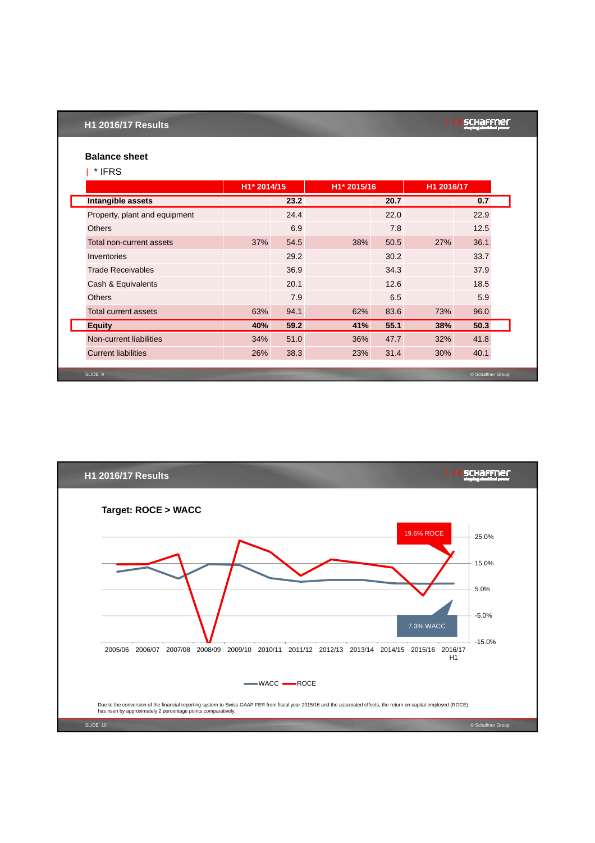### **H1 2016/17 Results**

# SCHaffner

# **Balance sheet** | \* IFRS

|                               |     | H <sub>1</sub> * 2014/15 |     | H <sub>1</sub> * 2015/16 |     | H1 2016/17        |  |
|-------------------------------|-----|--------------------------|-----|--------------------------|-----|-------------------|--|
| Intangible assets             |     | 23.2                     |     | 20.7                     |     | 0.7               |  |
| Property, plant and equipment |     | 24.4                     |     | 22.0                     |     | 22.9              |  |
| <b>Others</b>                 |     | 6.9                      |     | 7.8                      |     | 12.5              |  |
| Total non-current assets      | 37% | 54.5                     | 38% | 50.5                     | 27% | 36.1              |  |
| Inventories                   |     | 29.2                     |     | 30.2                     |     | 33.7              |  |
| <b>Trade Receivables</b>      |     | 36.9                     |     | 34.3                     |     | 37.9              |  |
| Cash & Equivalents            |     | 20.1                     |     | 12.6                     |     | 18.5              |  |
| <b>Others</b>                 |     | 7.9                      |     | 6.5                      |     | 5.9               |  |
| Total current assets          | 63% | 94.1                     | 62% | 83.6                     | 73% | 96.0              |  |
| <b>Equity</b>                 | 40% | 59.2                     | 41% | 55.1                     | 38% | 50.3              |  |
| Non-current liabilities       | 34% | 51.0                     | 36% | 47.7                     | 32% | 41.8              |  |
| <b>Current liabilities</b>    | 26% | 38.3                     | 23% | 31.4                     | 30% | 40.1              |  |
| SLIDE 9                       |     |                          |     |                          |     | © Schaffner Group |  |

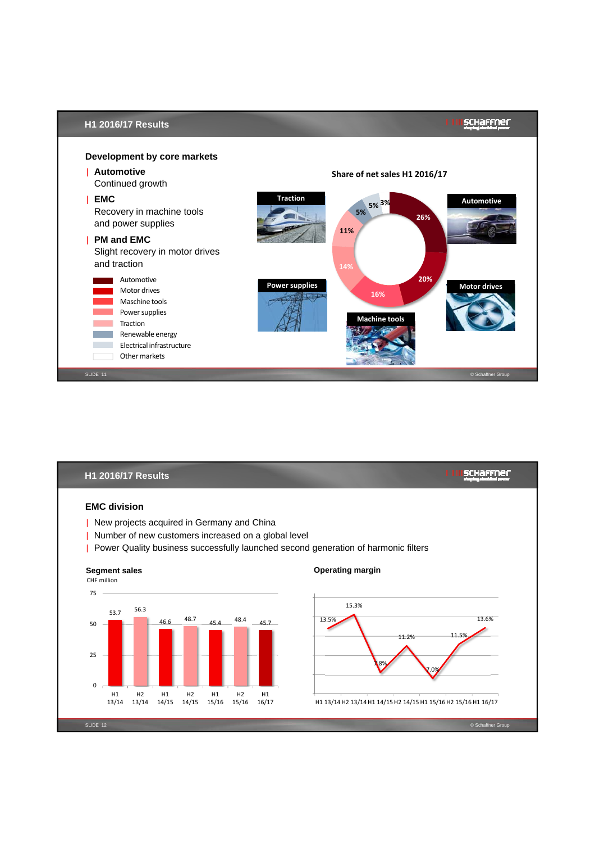

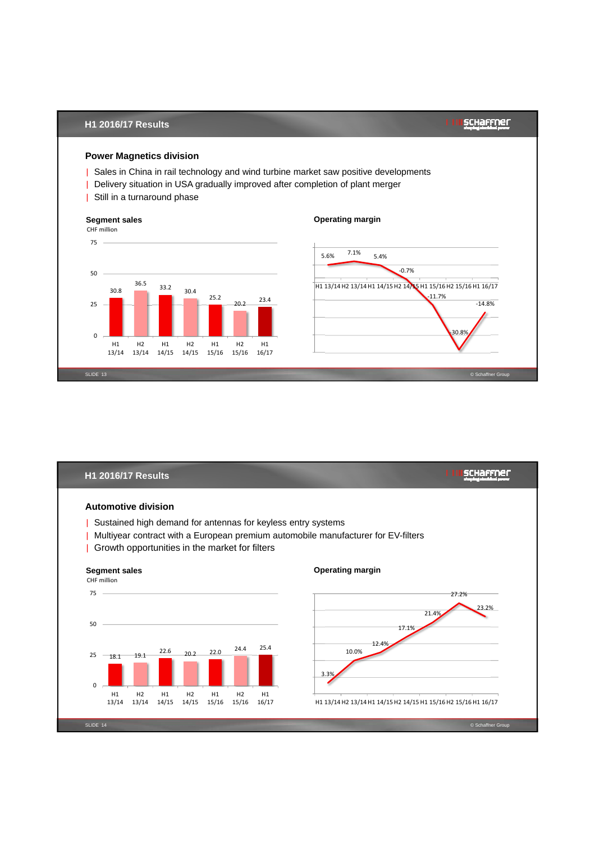